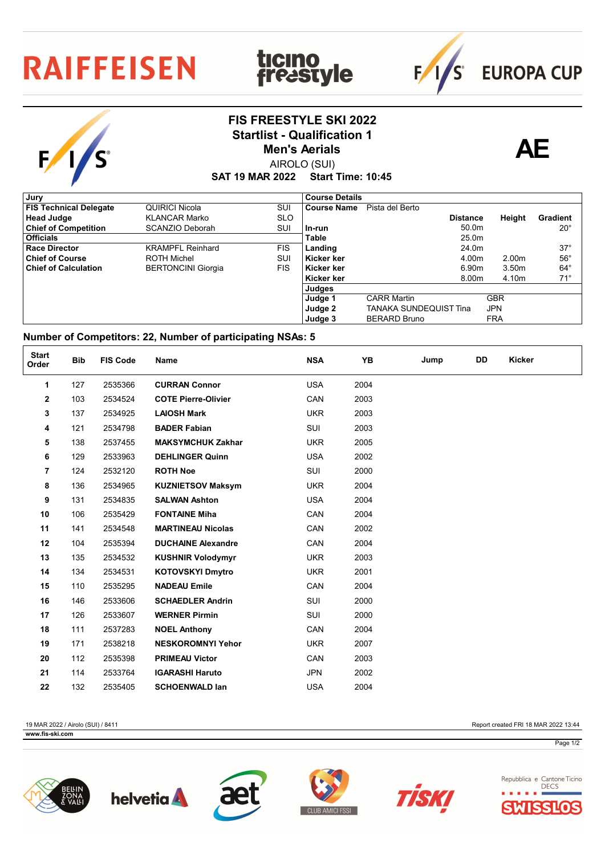## **RAIFFEISEN**

## **FIS FREESTYLE SKI 2022** Startlist - Qualification 1<br> **AE** Men's Aerials

**ticino<br>freastyle** 



**EUROPA CUP** 

 $F/1/s$ 

AIROLO (SUI) **Men's Aerials**

**SAT 19 MAR 2022 Start Time: 10:45**

| , Jury                        |                           |            | <b>Course Details</b> |                        |                 |                   |                 |
|-------------------------------|---------------------------|------------|-----------------------|------------------------|-----------------|-------------------|-----------------|
| <b>FIS Technical Delegate</b> | QUIRICI Nicola            | SUI        | <b>Course Name</b>    | Pista del Berto        |                 |                   |                 |
| <b>Head Judge</b>             | <b>KLANCAR Marko</b>      | <b>SLO</b> |                       |                        | <b>Distance</b> | Height            | <b>Gradient</b> |
| <b>Chief of Competition</b>   | SCANZIO Deborah           | SUI        | l In-run              |                        | 50.0m           |                   | $20^{\circ}$    |
| <b>Officials</b>              |                           |            | Table                 |                        | 25.0m           |                   |                 |
| <b>Race Director</b>          | <b>KRAMPFL Reinhard</b>   | FIS.       | Landing               |                        | 24.0m           |                   | $37^\circ$      |
| <b>Chief of Course</b>        | <b>ROTH Michel</b>        | SUI        | Kicker ker            |                        | 4.00m           | 2.00 <sub>m</sub> | $56^{\circ}$    |
| <b>Chief of Calculation</b>   | <b>BERTONCINI Giorgia</b> | <b>FIS</b> | l Kicker ker          |                        | 6.90m           | 3.50m             | $64^{\circ}$    |
|                               |                           |            | Kicker ker            |                        | 8.00m           | 4.10m             | $71^\circ$      |
|                               |                           |            | Judges                |                        |                 |                   |                 |
|                               |                           |            | Judge 1               | <b>CARR Martin</b>     |                 | <b>GBR</b>        |                 |
|                               |                           |            | Judge 2               | TANAKA SUNDEQUIST Tina |                 | <b>JPN</b>        |                 |
|                               |                           |            | Judge 3               | <b>BERARD Bruno</b>    |                 | <b>FRA</b>        |                 |

## **Number of Competitors: 22, Number of participating NSAs: 5**

| <b>Start</b><br>Order | <b>Bib</b> | <b>FIS Code</b> | Name                       | <b>NSA</b> | YB   | Jump | DD | <b>Kicker</b> |
|-----------------------|------------|-----------------|----------------------------|------------|------|------|----|---------------|
| 1                     | 127        | 2535366         | <b>CURRAN Connor</b>       | <b>USA</b> | 2004 |      |    |               |
| 2                     | 103        | 2534524         | <b>COTE Pierre-Olivier</b> | CAN        | 2003 |      |    |               |
| 3                     | 137        | 2534925         | <b>LAIOSH Mark</b>         | <b>UKR</b> | 2003 |      |    |               |
| 4                     | 121        | 2534798         | <b>BADER Fabian</b>        | SUI        | 2003 |      |    |               |
| 5                     | 138        | 2537455         | <b>MAKSYMCHUK Zakhar</b>   | <b>UKR</b> | 2005 |      |    |               |
| 6                     | 129        | 2533963         | <b>DEHLINGER Quinn</b>     | <b>USA</b> | 2002 |      |    |               |
| $\overline{7}$        | 124        | 2532120         | <b>ROTH Noe</b>            | SUI        | 2000 |      |    |               |
| 8                     | 136        | 2534965         | <b>KUZNIETSOV Maksym</b>   | <b>UKR</b> | 2004 |      |    |               |
| 9                     | 131        | 2534835         | <b>SALWAN Ashton</b>       | <b>USA</b> | 2004 |      |    |               |
| 10                    | 106        | 2535429         | <b>FONTAINE Miha</b>       | CAN        | 2004 |      |    |               |
| 11                    | 141        | 2534548         | <b>MARTINEAU Nicolas</b>   | CAN        | 2002 |      |    |               |
| 12                    | 104        | 2535394         | <b>DUCHAINE Alexandre</b>  | CAN        | 2004 |      |    |               |
| 13                    | 135        | 2534532         | <b>KUSHNIR Volodymyr</b>   | <b>UKR</b> | 2003 |      |    |               |
| 14                    | 134        | 2534531         | <b>KOTOVSKYI Dmytro</b>    | <b>UKR</b> | 2001 |      |    |               |
| 15                    | 110        | 2535295         | <b>NADEAU Emile</b>        | CAN        | 2004 |      |    |               |
| 16                    | 146        | 2533606         | <b>SCHAEDLER Andrin</b>    | SUI        | 2000 |      |    |               |
| 17                    | 126        | 2533607         | <b>WERNER Pirmin</b>       | SUI        | 2000 |      |    |               |
| 18                    | 111        | 2537283         | <b>NOEL Anthony</b>        | CAN        | 2004 |      |    |               |
| 19                    | 171        | 2538218         | <b>NESKOROMNYI Yehor</b>   | <b>UKR</b> | 2007 |      |    |               |
| 20                    | 112        | 2535398         | <b>PRIMEAU Victor</b>      | CAN        | 2003 |      |    |               |
| 21                    | 114        | 2533764         | <b>IGARASHI Haruto</b>     | <b>JPN</b> | 2002 |      |    |               |
| 22                    | 132        | 2535405         | <b>SCHOENWALD lan</b>      | <b>USA</b> | 2004 |      |    |               |

19 MAR 2022 / Airolo (SUI) / 8411 Report created FRI 18 MAR 2022 13:44

**www.fis-ski.com** 

Page 1/2











Repubblica e Cantone Ticino **DECS** SSILO